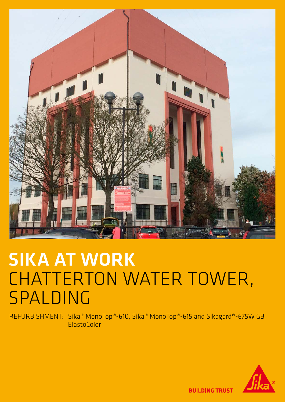

## SIKA AT WORK CHATTERTON WATER TOWER, SPALDING

REFURBISHMENT: Sika® MonoTop®-610, Sika® MonoTop®-615 and Sikagard®-675W GB ElastoColor



**BUILDING TRUST**